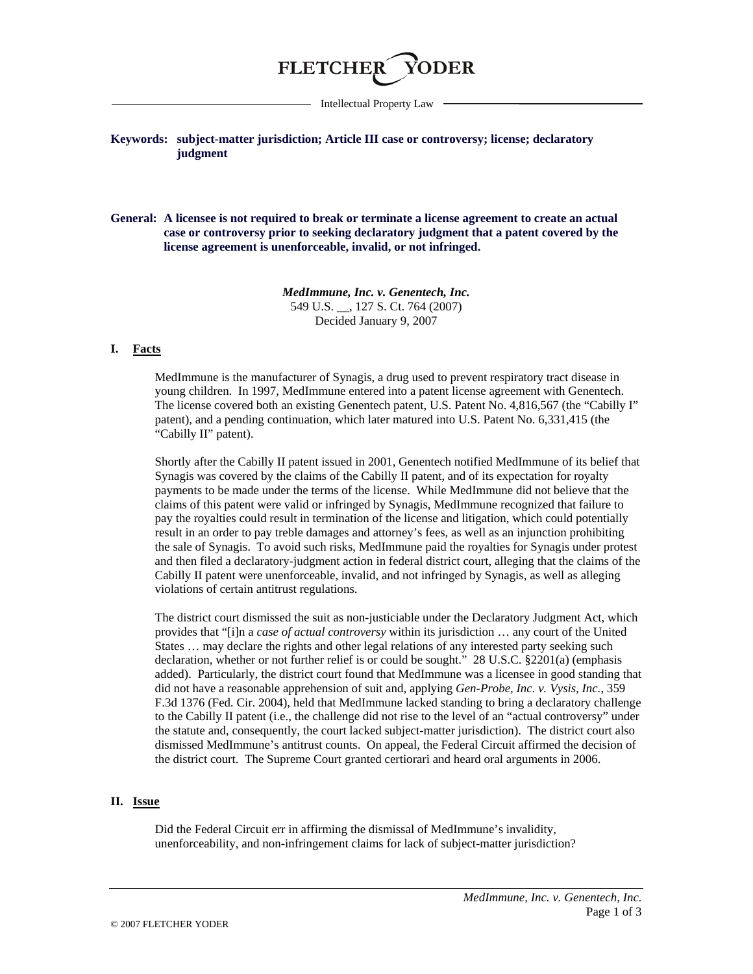

Intellectual Property Law

## **Keywords: subject-matter jurisdiction; Article III case or controversy; license; declaratory judgment**

**General: A licensee is not required to break or terminate a license agreement to create an actual case or controversy prior to seeking declaratory judgment that a patent covered by the license agreement is unenforceable, invalid, or not infringed.**

> *MedImmune, Inc. v. Genentech, Inc.* 549 U.S. \_\_, 127 S. Ct. 764 (2007) Decided January 9, 2007

### **I. Facts**

MedImmune is the manufacturer of Synagis, a drug used to prevent respiratory tract disease in young children. In 1997, MedImmune entered into a patent license agreement with Genentech. The license covered both an existing Genentech patent, U.S. Patent No. 4,816,567 (the "Cabilly I" patent), and a pending continuation, which later matured into U.S. Patent No. 6,331,415 (the "Cabilly II" patent).

Shortly after the Cabilly II patent issued in 2001, Genentech notified MedImmune of its belief that Synagis was covered by the claims of the Cabilly II patent, and of its expectation for royalty payments to be made under the terms of the license. While MedImmune did not believe that the claims of this patent were valid or infringed by Synagis, MedImmune recognized that failure to pay the royalties could result in termination of the license and litigation, which could potentially result in an order to pay treble damages and attorney's fees, as well as an injunction prohibiting the sale of Synagis. To avoid such risks, MedImmune paid the royalties for Synagis under protest and then filed a declaratory-judgment action in federal district court, alleging that the claims of the Cabilly II patent were unenforceable, invalid, and not infringed by Synagis, as well as alleging violations of certain antitrust regulations.

The district court dismissed the suit as non-justiciable under the Declaratory Judgment Act, which provides that "[i]n a *case of actual controversy* within its jurisdiction … any court of the United States … may declare the rights and other legal relations of any interested party seeking such declaration, whether or not further relief is or could be sought." 28 U.S.C. §2201(a) (emphasis added). Particularly, the district court found that MedImmune was a licensee in good standing that did not have a reasonable apprehension of suit and, applying *Gen-Probe, Inc. v. Vysis, Inc.*, 359 F.3d 1376 (Fed. Cir. 2004), held that MedImmune lacked standing to bring a declaratory challenge to the Cabilly II patent (i.e., the challenge did not rise to the level of an "actual controversy" under the statute and, consequently, the court lacked subject-matter jurisdiction). The district court also dismissed MedImmune's antitrust counts. On appeal, the Federal Circuit affirmed the decision of the district court. The Supreme Court granted certiorari and heard oral arguments in 2006.

#### **II. Issue**

Did the Federal Circuit err in affirming the dismissal of MedImmune's invalidity, unenforceability, and non-infringement claims for lack of subject-matter jurisdiction?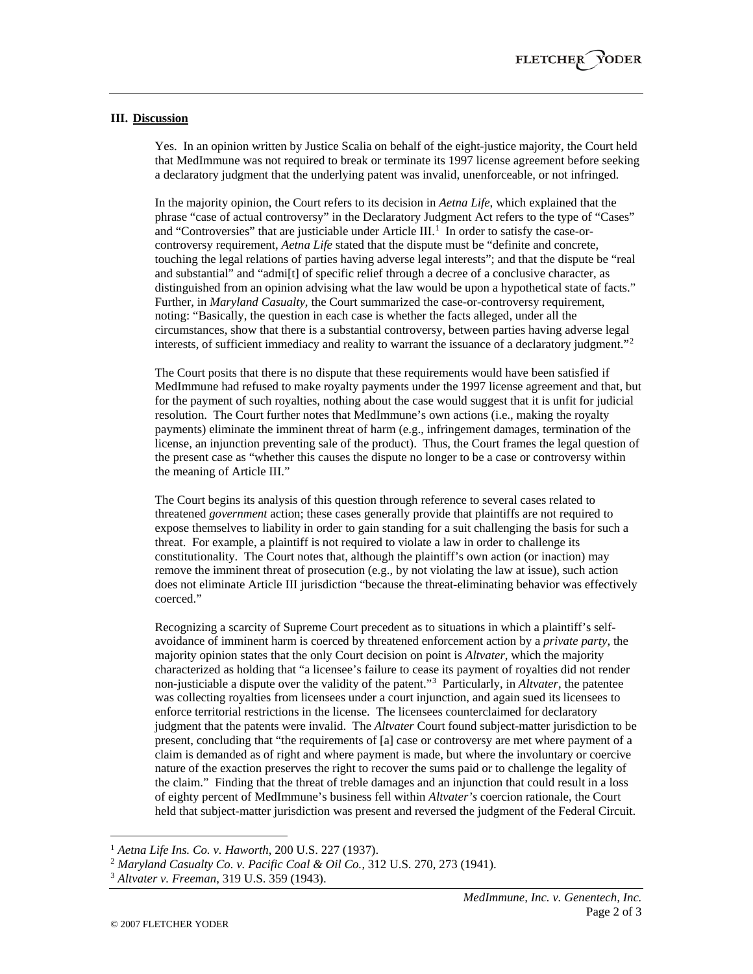## **III. Discussion**

Yes. In an opinion written by Justice Scalia on behalf of the eight-justice majority, the Court held that MedImmune was not required to break or terminate its 1997 license agreement before seeking a declaratory judgment that the underlying patent was invalid, unenforceable, or not infringed.

In the majority opinion, the Court refers to its decision in *Aetna Life*, which explained that the phrase "case of actual controversy" in the Declaratory Judgment Act refers to the type of "Cases" and "Controversies" that are justiciable under Article III.<sup>[1](#page-1-0)</sup> In order to satisfy the case-orcontroversy requirement, *Aetna Life* stated that the dispute must be "definite and concrete, touching the legal relations of parties having adverse legal interests"; and that the dispute be "real and substantial" and "admi[t] of specific relief through a decree of a conclusive character, as distinguished from an opinion advising what the law would be upon a hypothetical state of facts." Further, in *Maryland Casualty*, the Court summarized the case-or-controversy requirement, noting: "Basically, the question in each case is whether the facts alleged, under all the circumstances, show that there is a substantial controversy, between parties having adverse legal interests, of sufficient immediacy and reality to warrant the issuance of a declaratory judgment."[2](#page-1-1)

The Court posits that there is no dispute that these requirements would have been satisfied if MedImmune had refused to make royalty payments under the 1997 license agreement and that, but for the payment of such royalties, nothing about the case would suggest that it is unfit for judicial resolution. The Court further notes that MedImmune's own actions (i.e., making the royalty payments) eliminate the imminent threat of harm (e.g., infringement damages, termination of the license, an injunction preventing sale of the product). Thus, the Court frames the legal question of the present case as "whether this causes the dispute no longer to be a case or controversy within the meaning of Article III."

The Court begins its analysis of this question through reference to several cases related to threatened *government* action; these cases generally provide that plaintiffs are not required to expose themselves to liability in order to gain standing for a suit challenging the basis for such a threat. For example, a plaintiff is not required to violate a law in order to challenge its constitutionality. The Court notes that, although the plaintiff's own action (or inaction) may remove the imminent threat of prosecution (e.g., by not violating the law at issue), such action does not eliminate Article III jurisdiction "because the threat-eliminating behavior was effectively coerced."

Recognizing a scarcity of Supreme Court precedent as to situations in which a plaintiff's selfavoidance of imminent harm is coerced by threatened enforcement action by a *private party*, the majority opinion states that the only Court decision on point is *Altvater*, which the majority characterized as holding that "a licensee's failure to cease its payment of royalties did not render non-justiciable a dispute over the validity of the patent."[3](#page-1-2) Particularly, in *Altvater*, the patentee was collecting royalties from licensees under a court injunction, and again sued its licensees to enforce territorial restrictions in the license. The licensees counterclaimed for declaratory judgment that the patents were invalid. The *Altvater* Court found subject-matter jurisdiction to be present, concluding that "the requirements of [a] case or controversy are met where payment of a claim is demanded as of right and where payment is made, but where the involuntary or coercive nature of the exaction preserves the right to recover the sums paid or to challenge the legality of the claim." Finding that the threat of treble damages and an injunction that could result in a loss of eighty percent of MedImmune's business fell within *Altvater's* coercion rationale, the Court held that subject-matter jurisdiction was present and reversed the judgment of the Federal Circuit.

<span id="page-1-0"></span> <sup>1</sup> *Aetna Life Ins. Co. v. Haworth*, 200 U.S. 227 (1937).

<span id="page-1-1"></span><sup>2</sup> *Maryland Casualty Co. v. Pacific Coal & Oil Co.*, 312 U.S. 270, 273 (1941).

<span id="page-1-2"></span><sup>3</sup> *Altvater v. Freeman*, 319 U.S. 359 (1943).